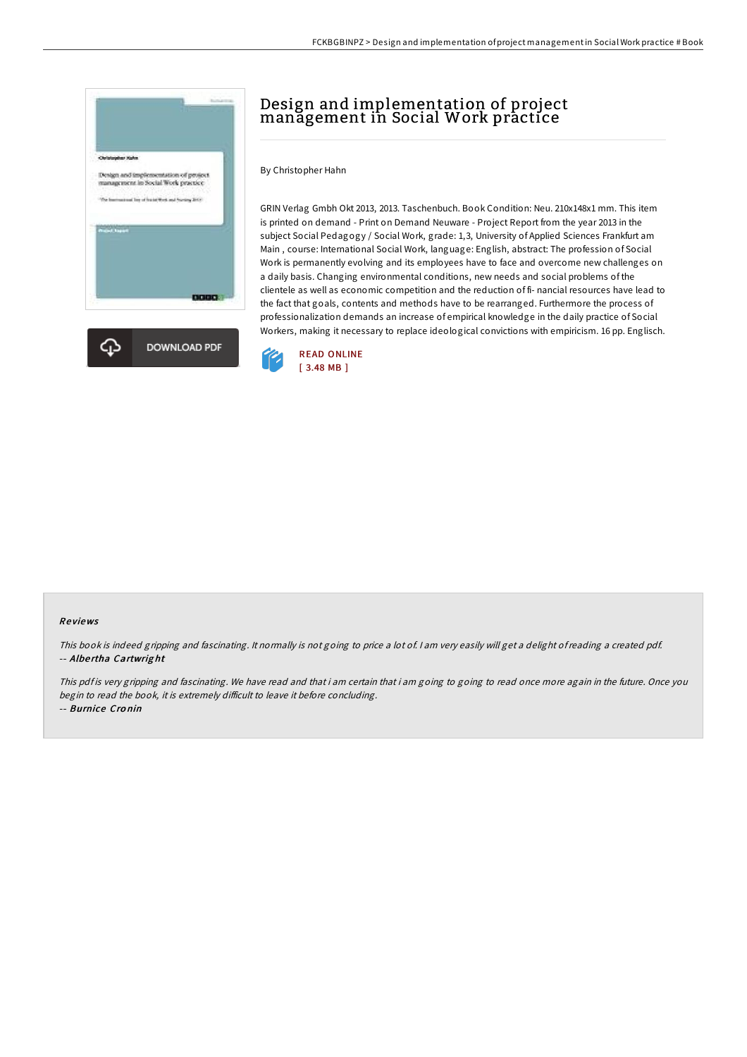

# Design and implementation of project management in Social Work practice

By Christopher Hahn

GRIN Verlag Gmbh Okt 2013, 2013. Taschenbuch. Book Condition: Neu. 210x148x1 mm. This item is printed on demand - Print on Demand Neuware - Project Report from the year 2013 in the subject Social Pedagogy / Social Work, grade: 1,3, University of Applied Sciences Frankfurt am Main , course: International Social Work, language: English, abstract: The profession of Social Work is permanently evolving and its employees have to face and overcome new challenges on a daily basis. Changing environmental conditions, new needs and social problems of the clientele as well as economic competition and the reduction of fi- nancial resources have lead to the fact that goals, contents and methods have to be rearranged. Furthermore the process of professionalization demands an increase of empirical knowledge in the daily practice of Social Workers, making it necessary to replace ideological convictions with empiricism. 16 pp. Englisch.



#### Re views

This book is indeed gripping and fascinating. It normally is not going to price <sup>a</sup> lot of. <sup>I</sup> am very easily will get <sup>a</sup> delight ofreading <sup>a</sup> created pdf. -- Albe rtha Cartwrig ht

This pdf is very gripping and fascinating. We have read and that i am certain that i am going to read once more again in the future. Once you begin to read the book, it is extremely difficult to leave it before concluding.

-- Burnice Cro nin